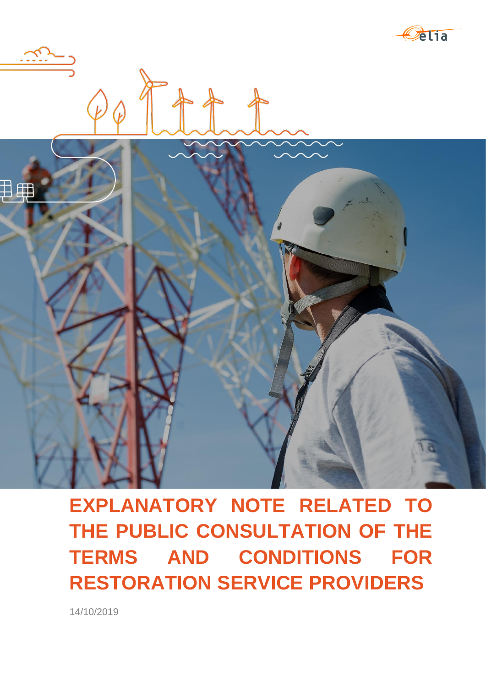



**EXPLANATORY NOTE RELATED TO THE PUBLIC CONSULTATION OF THE TERMS AND CONDITIONS FOR RESTORATION SERVICE PROVIDERS**

14/10/2019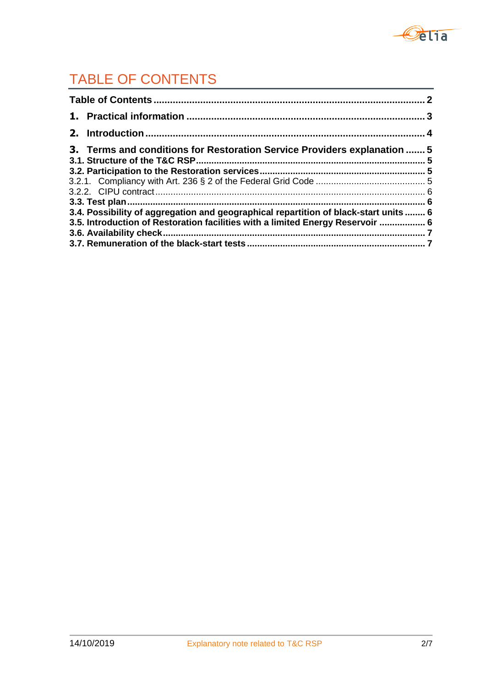

# TABLE OF CONTENTS

|  | 3. Terms and conditions for Restoration Service Providers explanation  5             |  |
|--|--------------------------------------------------------------------------------------|--|
|  |                                                                                      |  |
|  |                                                                                      |  |
|  |                                                                                      |  |
|  |                                                                                      |  |
|  | 3.4. Possibility of aggregation and geographical repartition of black-start units  6 |  |
|  | 3.5. Introduction of Restoration facilities with a limited Energy Reservoir  6       |  |
|  |                                                                                      |  |
|  |                                                                                      |  |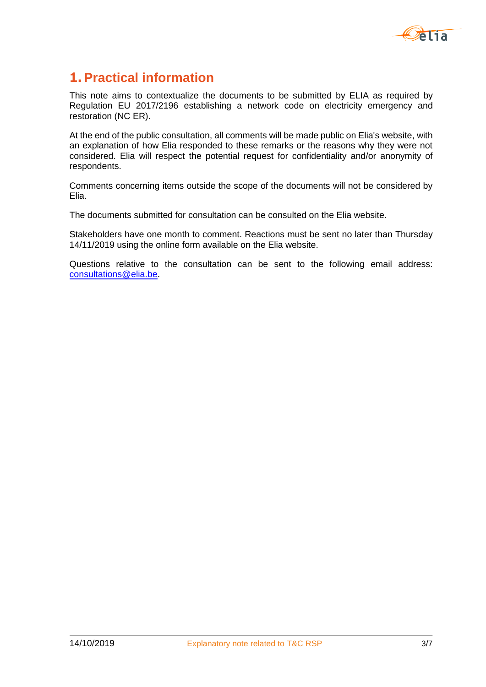

# **1. Practical information**

This note aims to contextualize the documents to be submitted by ELIA as required by Regulation EU 2017/2196 establishing a network code on electricity emergency and restoration (NC ER).

At the end of the public consultation, all comments will be made public on Elia's website, with an explanation of how Elia responded to these remarks or the reasons why they were not considered. Elia will respect the potential request for confidentiality and/or anonymity of respondents.

Comments concerning items outside the scope of the documents will not be considered by Elia.

The documents submitted for consultation can be consulted on the Elia website.

Stakeholders have one month to comment. Reactions must be sent no later than Thursday 14/11/2019 using the online form available on the Elia website.

Questions relative to the consultation can be sent to the following email address: [consultations@elia.be.](mailto:consultations@elia.be)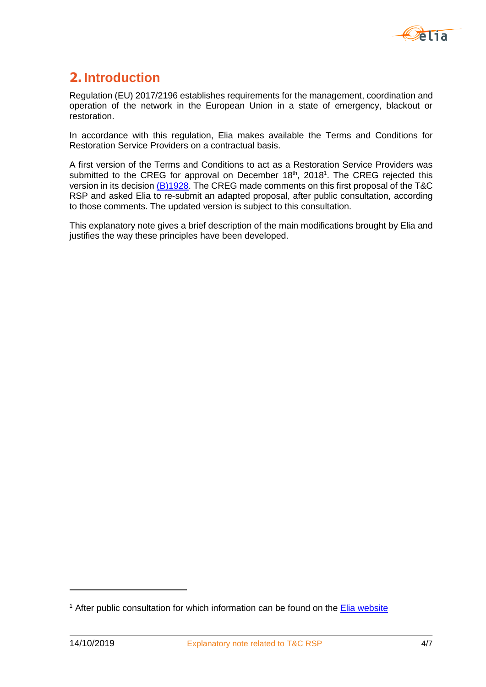

# **2. Introduction**

Regulation (EU) 2017/2196 establishes requirements for the management, coordination and operation of the network in the European Union in a state of emergency, blackout or restoration.

In accordance with this regulation, Elia makes available the Terms and Conditions for Restoration Service Providers on a contractual basis.

A first version of the Terms and Conditions to act as a Restoration Service Providers was submitted to the CREG for approval on December  $18<sup>th</sup>$ , 2018<sup>1</sup>. The CREG rejected this version in its decision [\(B\)1928.](https://www.creg.be/fr/publications/decision-b1928) The CREG made comments on this first proposal of the T&C RSP and asked Elia to re-submit an adapted proposal, after public consultation, according to those comments. The updated version is subject to this consultation.

This explanatory note gives a brief description of the main modifications brought by Elia and justifies the way these principles have been developed.

-

<sup>&</sup>lt;sup>1</sup> After public consultation for which information can be found on the [Elia website](https://www.elia.be/fr/consultations-publiques/20181005-ncer-public-consultation)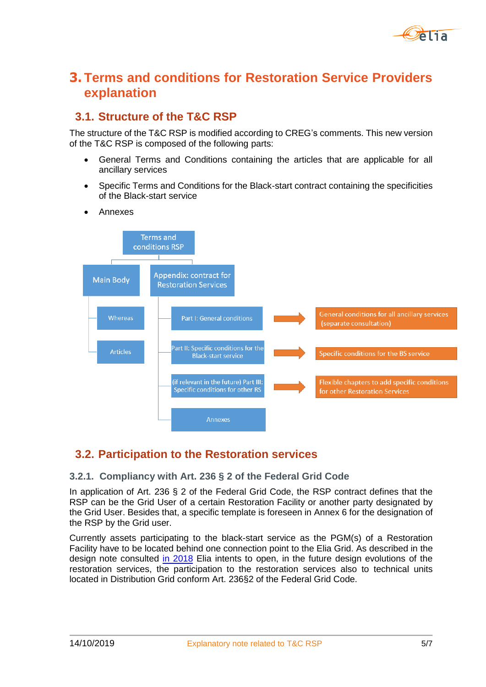

# **3. Terms and conditions for Restoration Service Providers explanation**

# **3.1. Structure of the T&C RSP**

The structure of the T&C RSP is modified according to CREG's comments. This new version of the T&C RSP is composed of the following parts:

- General Terms and Conditions containing the articles that are applicable for all ancillary services
- Specific Terms and Conditions for the Black-start contract containing the specificities of the Black-start service
- Annexes



# **3.2. Participation to the Restoration services**

#### **3.2.1. Compliancy with Art. 236 § 2 of the Federal Grid Code**

In application of Art. 236 § 2 of the Federal Grid Code, the RSP contract defines that the RSP can be the Grid User of a certain Restoration Facility or another party designated by the Grid User. Besides that, a specific template is foreseen in Annex 6 for the designation of the RSP by the Grid user.

Currently assets participating to the black-start service as the PGM(s) of a Restoration Facility have to be located behind one connection point to the Elia Grid. As described in the design note consulted [in 2018](https://www.elia.be/fr/consultations-publiques/20181005-service-de-reconstitution-) Elia intents to open, in the future design evolutions of the restoration services, the participation to the restoration services also to technical units located in Distribution Grid conform Art. 236§2 of the Federal Grid Code.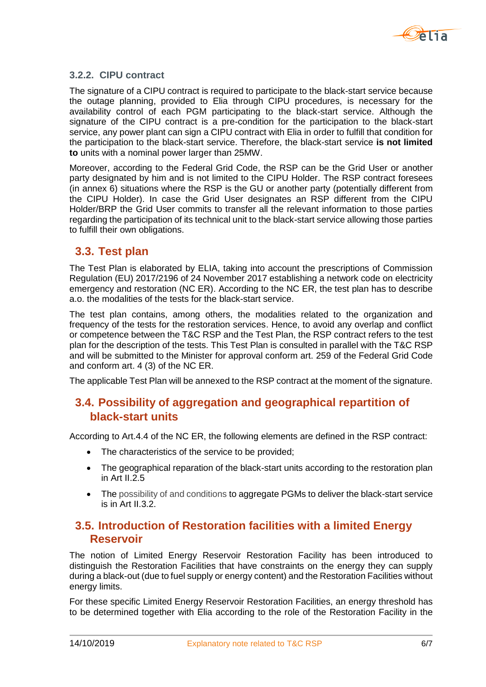

#### **3.2.2. CIPU contract**

The signature of a CIPU contract is required to participate to the black-start service because the outage planning, provided to Elia through CIPU procedures, is necessary for the availability control of each PGM participating to the black-start service. Although the signature of the CIPU contract is a pre-condition for the participation to the black-start service, any power plant can sign a CIPU contract with Elia in order to fulfill that condition for the participation to the black-start service. Therefore, the black-start service **is not limited to** units with a nominal power larger than 25MW.

Moreover, according to the Federal Grid Code, the RSP can be the Grid User or another party designated by him and is not limited to the CIPU Holder. The RSP contract foresees (in annex 6) situations where the RSP is the GU or another party (potentially different from the CIPU Holder). In case the Grid User designates an RSP different from the CIPU Holder/BRP the Grid User commits to transfer all the relevant information to those parties regarding the participation of its technical unit to the black-start service allowing those parties to fulfill their own obligations.

### **3.3. Test plan**

The Test Plan is elaborated by ELIA, taking into account the prescriptions of Commission Regulation (EU) 2017/2196 of 24 November 2017 establishing a network code on electricity emergency and restoration (NC ER). According to the NC ER, the test plan has to describe a.o. the modalities of the tests for the black-start service.

The test plan contains, among others, the modalities related to the organization and frequency of the tests for the restoration services. Hence, to avoid any overlap and conflict or competence between the T&C RSP and the Test Plan, the RSP contract refers to the test plan for the description of the tests. This Test Plan is consulted in parallel with the T&C RSP and will be submitted to the Minister for approval conform art. 259 of the Federal Grid Code and conform art. 4 (3) of the NC ER.

The applicable Test Plan will be annexed to the RSP contract at the moment of the signature.

# **3.4. Possibility of aggregation and geographical repartition of black-start units**

According to Art.4.4 of the NC ER, the following elements are defined in the RSP contract:

- The characteristics of the service to be provided;
- The geographical reparation of the black-start units according to the restoration plan in Art II.2.5
- The possibility of and conditions to aggregate PGMs to deliver the black-start service is in Art II.3.2.

### **3.5. Introduction of Restoration facilities with a limited Energy Reservoir**

The notion of Limited Energy Reservoir Restoration Facility has been introduced to distinguish the Restoration Facilities that have constraints on the energy they can supply during a black-out (due to fuel supply or energy content) and the Restoration Facilities without energy limits.

For these specific Limited Energy Reservoir Restoration Facilities, an energy threshold has to be determined together with Elia according to the role of the Restoration Facility in the